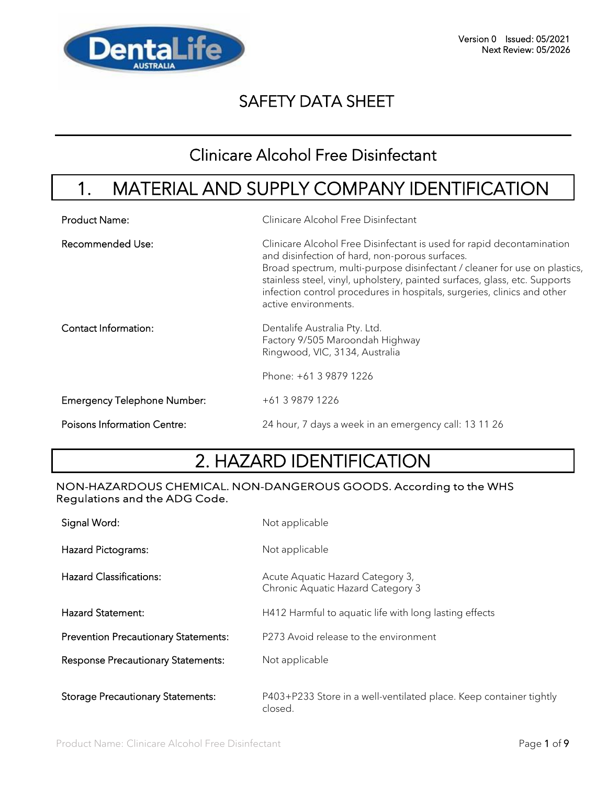

### Clinicare Alcohol Free Disinfectant

# 1. MATERIAL AND SUPPLY COMPANY IDENTIFICATION

| <b>Product Name:</b>               | Clinicare Alcohol Free Disinfectant                                                                                                                                                                                                                                                                                                                                                   |
|------------------------------------|---------------------------------------------------------------------------------------------------------------------------------------------------------------------------------------------------------------------------------------------------------------------------------------------------------------------------------------------------------------------------------------|
| <b>Recommended Use:</b>            | Clinicare Alcohol Free Disinfectant is used for rapid decontamination<br>and disinfection of hard, non-porous surfaces.<br>Broad spectrum, multi-purpose disinfectant / cleaner for use on plastics,<br>stainless steel, vinyl, upholstery, painted surfaces, glass, etc. Supports<br>infection control procedures in hospitals, surgeries, clinics and other<br>active environments. |
| Contact Information:               | Dentalife Australia Pty. Ltd.<br>Factory 9/505 Maroondah Highway<br>Ringwood, VIC, 3134, Australia                                                                                                                                                                                                                                                                                    |
|                                    | Phone: +61 3 9879 1226                                                                                                                                                                                                                                                                                                                                                                |
| <b>Emergency Telephone Number:</b> | +61 3 9879 1226                                                                                                                                                                                                                                                                                                                                                                       |
| <b>Poisons Information Centre:</b> | 24 hour, 7 days a week in an emergency call: 13 11 26                                                                                                                                                                                                                                                                                                                                 |

# 2. HAZARD IDENTIFICATION

#### NON-HAZARDOUS CHEMICAL. NON-DANGEROUS GOODS. According to the WHS Regulations and the ADG Code.

| Signal Word:                                | Not applicable                                                                |
|---------------------------------------------|-------------------------------------------------------------------------------|
| Hazard Pictograms:                          | Not applicable                                                                |
| <b>Hazard Classifications:</b>              | Acute Aquatic Hazard Category 3,<br>Chronic Aquatic Hazard Category 3         |
| <b>Hazard Statement:</b>                    | H412 Harmful to aquatic life with long lasting effects                        |
| <b>Prevention Precautionary Statements:</b> | P273 Avoid release to the environment                                         |
| <b>Response Precautionary Statements:</b>   | Not applicable                                                                |
| <b>Storage Precautionary Statements:</b>    | P403+P233 Store in a well-ventilated place. Keep container tightly<br>closed. |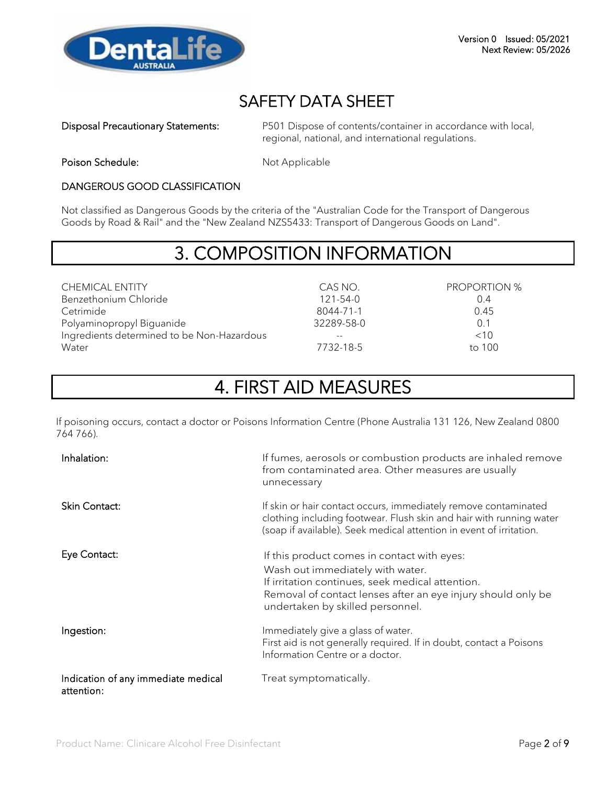

Disposal Precautionary Statements: P501 Dispose of contents/container in accordance with local, regional, national, and international regulations.

Poison Schedule: Not Applicable

#### DANGEROUS GOOD CLASSIFICATION

Not classified as Dangerous Goods by the criteria of the "Australian Code for the Transport of Dangerous Goods by Road & Rail" and the "New Zealand NZS5433: Transport of Dangerous Goods on Land".

## 3. COMPOSITION INFORMATION

CHEMICAL ENTITY CAS NO. PROPORTION % Benzethonium Chloride Cetrimide Polyaminopropyl Biguanide Ingredients determined to be Non-Hazardous -- <10 Water **100** 

121-54-0 8044-71-1 32289-58-0

0.4 0.45 0.1

# 4. FIRST AID MEASURES

If poisoning occurs, contact a doctor or Poisons Information Centre (Phone Australia 131 126, New Zealand 0800 764 766).

| Inhalation:                                       | If fumes, aerosols or combustion products are inhaled remove<br>from contaminated area. Other measures are usually<br>unnecessary                                                                                                       |
|---------------------------------------------------|-----------------------------------------------------------------------------------------------------------------------------------------------------------------------------------------------------------------------------------------|
| Skin Contact:                                     | If skin or hair contact occurs, immediately remove contaminated<br>clothing including footwear. Flush skin and hair with running water<br>(soap if available). Seek medical attention in event of irritation.                           |
| Eye Contact:                                      | If this product comes in contact with eyes:<br>Wash out immediately with water.<br>If irritation continues, seek medical attention.<br>Removal of contact lenses after an eye injury should only be<br>undertaken by skilled personnel. |
| Ingestion:                                        | Immediately give a glass of water.<br>First aid is not generally required. If in doubt, contact a Poisons<br>Information Centre or a doctor.                                                                                            |
| Indication of any immediate medical<br>attention: | Treat symptomatically.                                                                                                                                                                                                                  |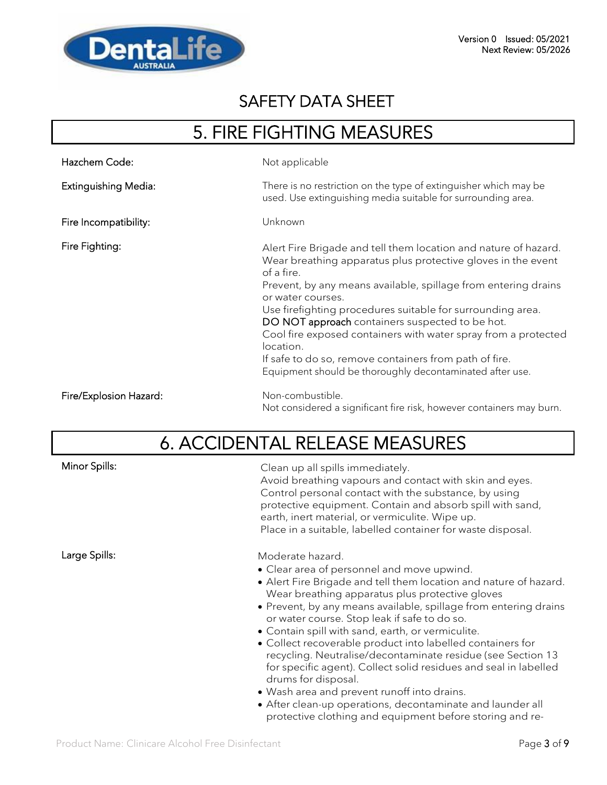

# 5. FIRE FIGHTING MEASURES

| Hazchem Code:          | Not applicable                                                                                                                                                                                                                                                                                                                                                                                                                                                                                                                                             |
|------------------------|------------------------------------------------------------------------------------------------------------------------------------------------------------------------------------------------------------------------------------------------------------------------------------------------------------------------------------------------------------------------------------------------------------------------------------------------------------------------------------------------------------------------------------------------------------|
| Extinguishing Media:   | There is no restriction on the type of extinguisher which may be<br>used. Use extinguishing media suitable for surrounding area.                                                                                                                                                                                                                                                                                                                                                                                                                           |
| Fire Incompatibility:  | Unknown                                                                                                                                                                                                                                                                                                                                                                                                                                                                                                                                                    |
| Fire Fighting:         | Alert Fire Brigade and tell them location and nature of hazard.<br>Wear breathing apparatus plus protective gloves in the event<br>of a fire.<br>Prevent, by any means available, spillage from entering drains<br>or water courses.<br>Use firefighting procedures suitable for surrounding area.<br>DO NOT approach containers suspected to be hot.<br>Cool fire exposed containers with water spray from a protected<br>location.<br>If safe to do so, remove containers from path of fire.<br>Equipment should be thoroughly decontaminated after use. |
| Fire/Explosion Hazard: | Non-combustible.<br>Not considered a significant fire risk, however containers may burn.                                                                                                                                                                                                                                                                                                                                                                                                                                                                   |

# 6. ACCIDENTAL RELEASE MEASURES

| Minor Spills: | Clean up all spills immediately.<br>Avoid breathing vapours and contact with skin and eyes.<br>Control personal contact with the substance, by using<br>protective equipment. Contain and absorb spill with sand,<br>earth, inert material, or vermiculite. Wipe up.<br>Place in a suitable, labelled container for waste disposal.                                                                                                                                                                                                                                                                                                                                                                                                                              |
|---------------|------------------------------------------------------------------------------------------------------------------------------------------------------------------------------------------------------------------------------------------------------------------------------------------------------------------------------------------------------------------------------------------------------------------------------------------------------------------------------------------------------------------------------------------------------------------------------------------------------------------------------------------------------------------------------------------------------------------------------------------------------------------|
| Large Spills: | Moderate hazard.<br>• Clear area of personnel and move upwind.<br>• Alert Fire Brigade and tell them location and nature of hazard.<br>Wear breathing apparatus plus protective gloves<br>• Prevent, by any means available, spillage from entering drains<br>or water course. Stop leak if safe to do so.<br>• Contain spill with sand, earth, or vermiculite.<br>• Collect recoverable product into labelled containers for<br>recycling. Neutralise/decontaminate residue (see Section 13<br>for specific agent). Collect solid residues and seal in labelled<br>drums for disposal.<br>• Wash area and prevent runoff into drains.<br>• After clean-up operations, decontaminate and launder all<br>protective clothing and equipment before storing and re- |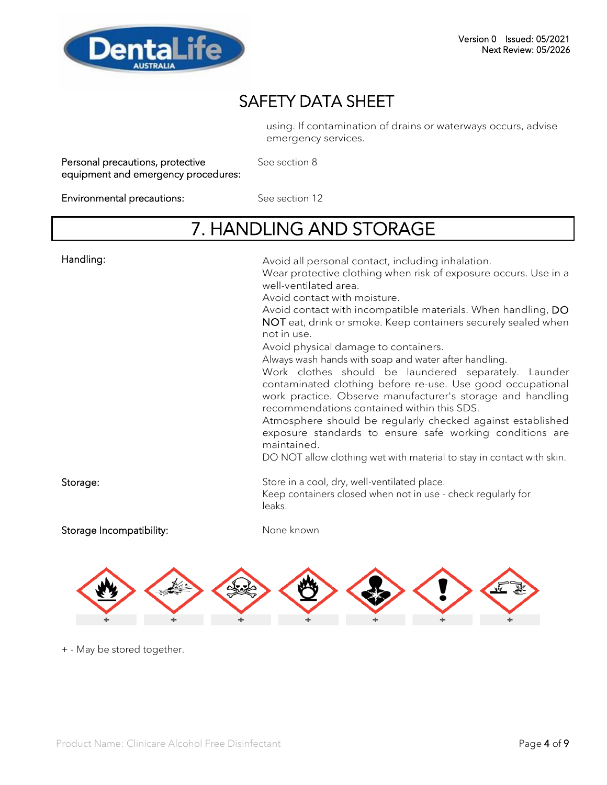

using. If contamination of drains or waterways occurs, advise emergency services.

| Personal precautions, protective    |  |
|-------------------------------------|--|
| equipment and emergency procedures: |  |

See section 8

Environmental precautions: See section 12

# 7. HANDLING AND STORAGE

| Handling:                | Avoid all personal contact, including inhalation.<br>Wear protective clothing when risk of exposure occurs. Use in a<br>well-ventilated area.<br>Avoid contact with moisture.<br>Avoid contact with incompatible materials. When handling, DO<br>NOT eat, drink or smoke. Keep containers securely sealed when<br>not in use.<br>Avoid physical damage to containers.<br>Always wash hands with soap and water after handling.<br>Work clothes should be laundered separately. Launder<br>contaminated clothing before re-use. Use good occupational<br>work practice. Observe manufacturer's storage and handling<br>recommendations contained within this SDS.<br>Atmosphere should be regularly checked against established<br>exposure standards to ensure safe working conditions are<br>maintained.<br>DO NOT allow clothing wet with material to stay in contact with skin. |
|--------------------------|------------------------------------------------------------------------------------------------------------------------------------------------------------------------------------------------------------------------------------------------------------------------------------------------------------------------------------------------------------------------------------------------------------------------------------------------------------------------------------------------------------------------------------------------------------------------------------------------------------------------------------------------------------------------------------------------------------------------------------------------------------------------------------------------------------------------------------------------------------------------------------|
| Storage:                 | Store in a cool, dry, well-ventilated place.<br>Keep containers closed when not in use - check regularly for<br>leaks.                                                                                                                                                                                                                                                                                                                                                                                                                                                                                                                                                                                                                                                                                                                                                             |
| Storage Incompatibility: | None known                                                                                                                                                                                                                                                                                                                                                                                                                                                                                                                                                                                                                                                                                                                                                                                                                                                                         |



+ - May be stored together.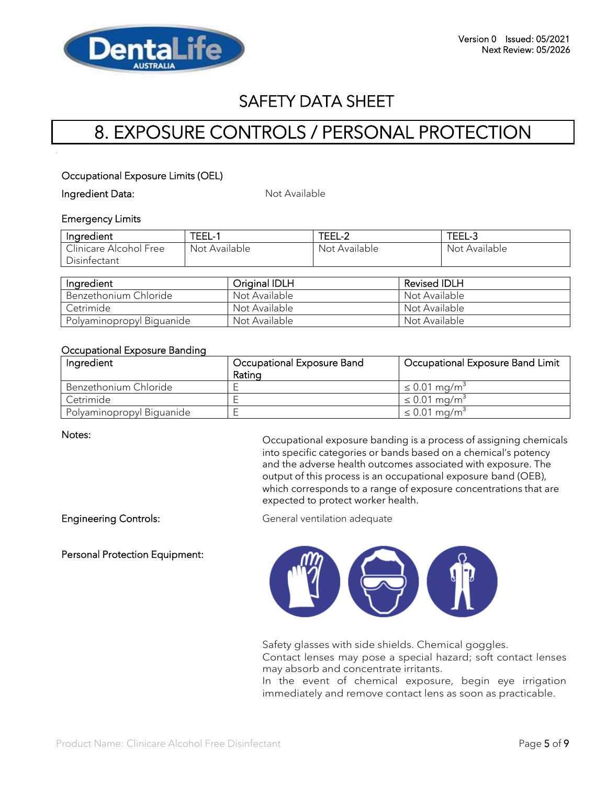

# 8. EXPOSURE CONTROLS / PERSONAL PROTECTION

#### Occupational Exposure Limits (OEL)

Ingredient Data: Not Available

#### Emergency Limits

| Ingredient             | TEEL- .       | TEEL-2        | TEEL-3        |
|------------------------|---------------|---------------|---------------|
| Clinicare Alcohol Free | Not Available | Not Available | Not Available |
| Disinfectant           |               |               |               |

| Ingredient                | <b>Original IDLH</b> | <b>Revised IDLH</b> |
|---------------------------|----------------------|---------------------|
| Benzethonium Chloride     | Not Available        | Not Available       |
| Cetrimide                 | Not Available        | Not Available       |
| Polyaminopropyl Biguanide | Not Available        | Not Available       |

#### Occupational Exposure Banding

| Ingredient                | Occupational Exposure Band | Occupational Exposure Band Limit |
|---------------------------|----------------------------|----------------------------------|
|                           | Rating                     |                                  |
| Benzethonium Chloride     |                            | $\leq 0.01$ mg/m <sup>3</sup>    |
| Cetrimide                 |                            | $\leq 0.01$ mg/m <sup>3</sup>    |
| Polyaminopropyl Biguanide |                            | $\leq 0.01$ mg/m <sup>3</sup>    |

Notes: Occupational exposure banding is a process of assigning chemicals into specific categories or bands based on a chemical's potency and the adverse health outcomes associated with exposure. The output of this process is an occupational exposure band (OEB), which corresponds to a range of exposure concentrations that are expected to protect worker health.

Engineering Controls: General ventilation adequate

Personal Protection Equipment:



Safety glasses with side shields. Chemical goggles.

Contact lenses may pose a special hazard; soft contact lenses may absorb and concentrate irritants.

In the event of chemical exposure, begin eye irrigation immediately and remove contact lens as soon as practicable.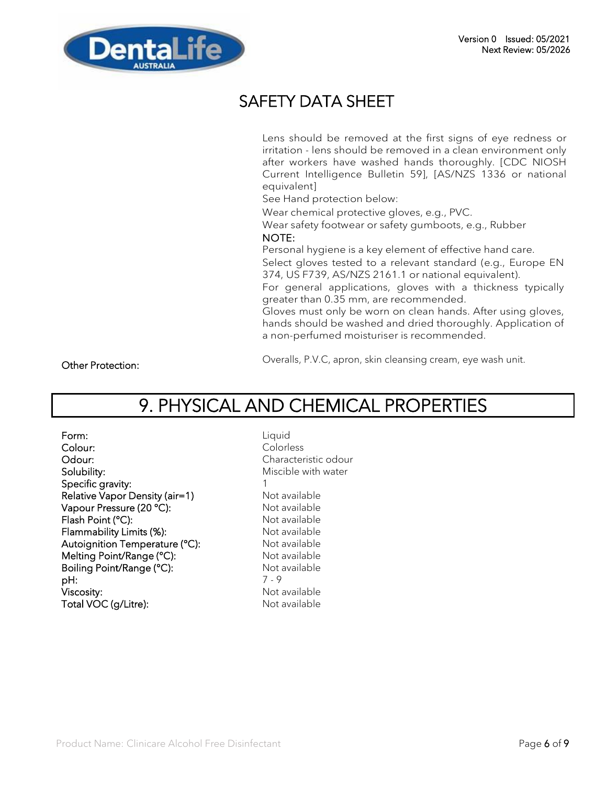

Lens should be removed at the first signs of eye redness or irritation - lens should be removed in a clean environment only after workers have washed hands thoroughly. [CDC NIOSH Current Intelligence Bulletin 59], [AS/NZS 1336 or national equivalent]

See Hand protection below:

Wear chemical protective gloves, e.g., PVC.

Wear safety footwear or safety gumboots, e.g., Rubber NOTE:

Personal hygiene is a key element of effective hand care.

Select gloves tested to a relevant standard (e.g., Europe EN 374, US F739, AS/NZS 2161.1 or national equivalent).

For general applications, gloves with a thickness typically greater than 0.35 mm, are recommended.

Gloves must only be worn on clean hands. After using gloves, hands should be washed and dried thoroughly. Application of a non-perfumed moisturiser is recommended.

Other Protection:

Overalls, P.V.C, apron, skin cleansing cream, eye wash unit.

# 9. PHYSICAL AND CHEMICAL PROPERTIES

Form: Liquid Colour: Colorless Odour: Characteristic odour Solubility: Solubility: Miscible with water Specific gravity: 1 Relative Vapor Density (air=1) Not available Vapour Pressure (20 °C): Not available Flash Point (°C): Not available Flammability Limits (%): Not available Autoignition Temperature (°C): Not available Melting Point/Range (°C): Not available Boiling Point/Range (°C): Not available **pH:** 7 - 9 Viscosity: Not available Total VOC (g/Litre): Not available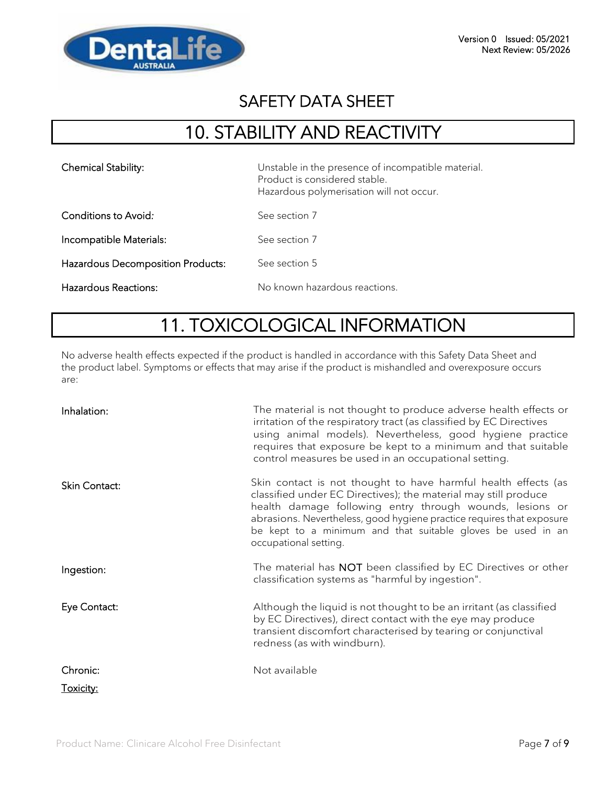

# 10. STABILITY AND REACTIVITY

| <b>Chemical Stability:</b>               | Unstable in the presence of incompatible material.<br>Product is considered stable.<br>Hazardous polymerisation will not occur. |
|------------------------------------------|---------------------------------------------------------------------------------------------------------------------------------|
| Conditions to Avoid:                     | See section 7                                                                                                                   |
| Incompatible Materials:                  | See section 7                                                                                                                   |
| <b>Hazardous Decomposition Products:</b> | See section 5                                                                                                                   |
| Hazardous Reactions:                     | No known hazardous reactions.                                                                                                   |

# 11. TOXICOLOGICAL INFORMATION

No adverse health effects expected if the product is handled in accordance with this Safety Data Sheet and the product label. Symptoms or effects that may arise if the product is mishandled and overexposure occurs are:

| Inhalation:   | The material is not thought to produce adverse health effects or<br>irritation of the respiratory tract (as classified by EC Directives<br>using animal models). Nevertheless, good hygiene practice<br>requires that exposure be kept to a minimum and that suitable<br>control measures be used in an occupational setting.                                  |
|---------------|----------------------------------------------------------------------------------------------------------------------------------------------------------------------------------------------------------------------------------------------------------------------------------------------------------------------------------------------------------------|
| Skin Contact: | Skin contact is not thought to have harmful health effects (as<br>classified under EC Directives); the material may still produce<br>health damage following entry through wounds, lesions or<br>abrasions. Nevertheless, good hygiene practice requires that exposure<br>be kept to a minimum and that suitable gloves be used in an<br>occupational setting. |
| Ingestion:    | The material has NOT been classified by EC Directives or other<br>classification systems as "harmful by ingestion".                                                                                                                                                                                                                                            |
| Eye Contact:  | Although the liquid is not thought to be an irritant (as classified<br>by EC Directives), direct contact with the eye may produce<br>transient discomfort characterised by tearing or conjunctival<br>redness (as with windburn).                                                                                                                              |
| Chronic:      | Not available                                                                                                                                                                                                                                                                                                                                                  |
| Toxicity:     |                                                                                                                                                                                                                                                                                                                                                                |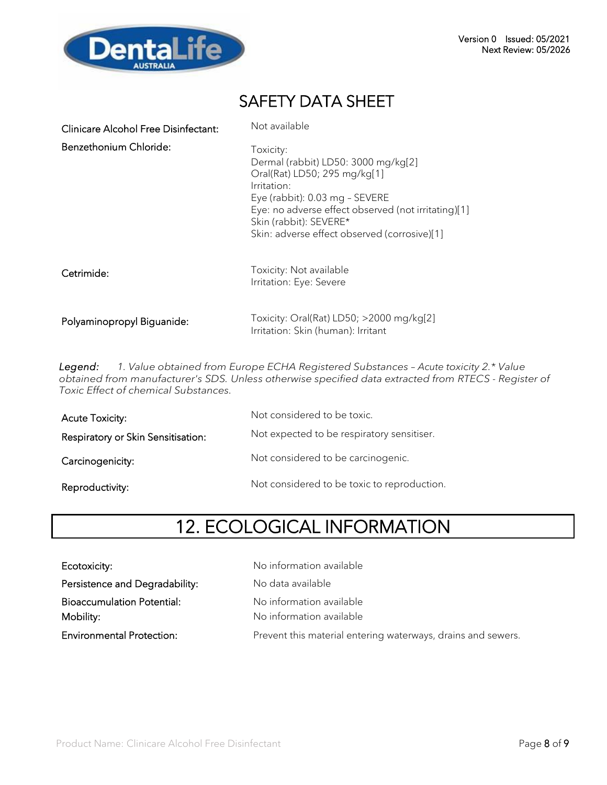

| <b>Clinicare Alcohol Free Disinfectant:</b> | Not available                                                                                                                                                                                                                                                      |
|---------------------------------------------|--------------------------------------------------------------------------------------------------------------------------------------------------------------------------------------------------------------------------------------------------------------------|
| Benzethonium Chloride:                      | Toxicity:<br>Dermal (rabbit) LD50: 3000 mg/kg[2]<br>Oral(Rat) LD50; 295 mg/kg[1]<br>Irritation:<br>Eye (rabbit): 0.03 mg - SEVERE<br>Eye: no adverse effect observed (not irritating)[1]<br>Skin (rabbit): SEVERE*<br>Skin: adverse effect observed (corrosive)[1] |
| Cetrimide:                                  | Toxicity: Not available<br>Irritation: Eye: Severe                                                                                                                                                                                                                 |
| Polyaminopropyl Biguanide:                  | Toxicity: Oral(Rat) LD50; >2000 mg/kg[2]<br>Irritation: Skin (human): Irritant                                                                                                                                                                                     |

*Legend: 1. Value obtained from Europe ECHA Registered Substances – Acute toxicity 2.\* Value obtained from manufacturer's SDS. Unless otherwise specified data extracted from RTECS - Register of Toxic Effect of chemical Substances.*

| Acute Toxicity:                    | Not considered to be toxic.                 |
|------------------------------------|---------------------------------------------|
| Respiratory or Skin Sensitisation: | Not expected to be respiratory sensitiser.  |
| Carcinogenicity:                   | Not considered to be carcinogenic.          |
| Reproductivity:                    | Not considered to be toxic to reproduction. |

# 12. ECOLOGICAL INFORMATION

| Ecotoxicity:                                   | No information available                                     |
|------------------------------------------------|--------------------------------------------------------------|
| Persistence and Degradability:                 | No data available                                            |
| <b>Bioaccumulation Potential:</b><br>Mobility: | No information available<br>No information available         |
| <b>Environmental Protection:</b>               | Prevent this material entering waterways, drains and sewers. |